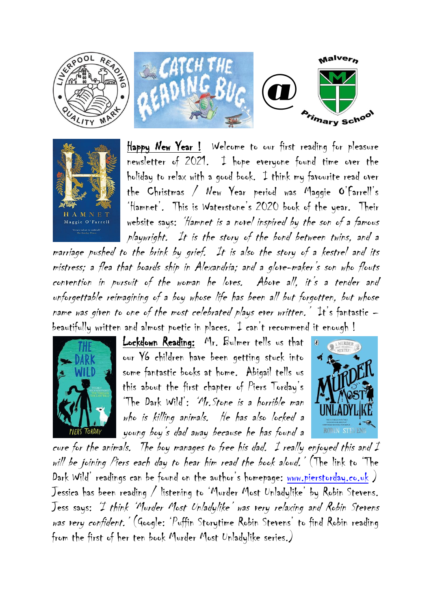



Happy New Year ! Welcome to our first reading for pleasure newsletter of 2021. I hope everyone found time over the holiday to relax with a good book. I think my favourite read over the Christmas / New Year period was Maggie O'Farrell's 'Hamnet'. This is Waterstone's 2020 book of the year. Their website says: 'Hamnet is a novel inspired by the son of a famous playwright. It is the story of the bond between twins, and a

marriage pushed to the brink by grief. It is also the story of a kestrel and its mistress; a flea that boards ship in Alexandria; and a glove-maker's son who flouts convention in pursuit of the woman he loves. Above all, it's a tender and unforgettable reimagining of a boy whose life has been all but forgotten, but whose name was given to one of the most celebrated plays ever written. It's fantastic  $$ beautifully written and almost poetic in places. I can't recommend it enough !



Lockdown Reading: Mr. Bulmer tells us that our Y6 children have been getting stuck into some fantastic books at home. Abigail tells us this about the first chapter of Piers Torday's 'The Dark Wild': 'Mr.Stone is a horrible man who is killing animals. He has also locked a young boy's dad away because he has found a



cure for the animals. The boy manages to free his dad. I really enjoyed this and I will be joining Piers each day to hear him read the book aloud.' (The link to 'The Dark Wild' readings can be found on the author's homepage: [www.pierstorday.co.uk](http://www.pierstorday.co.uk/) ) Jessica has been reading / listening to 'Murder Most Unladylike' by Robin Stevens. Jess says: 'I think 'Murder Most Unladylike' was very relaxing and Robin Stevens was very confident.' (Google: 'Puffin Storytime Robin Stevens' to find Robin reading from the first of her ten book Murder Most Unladylike series.)